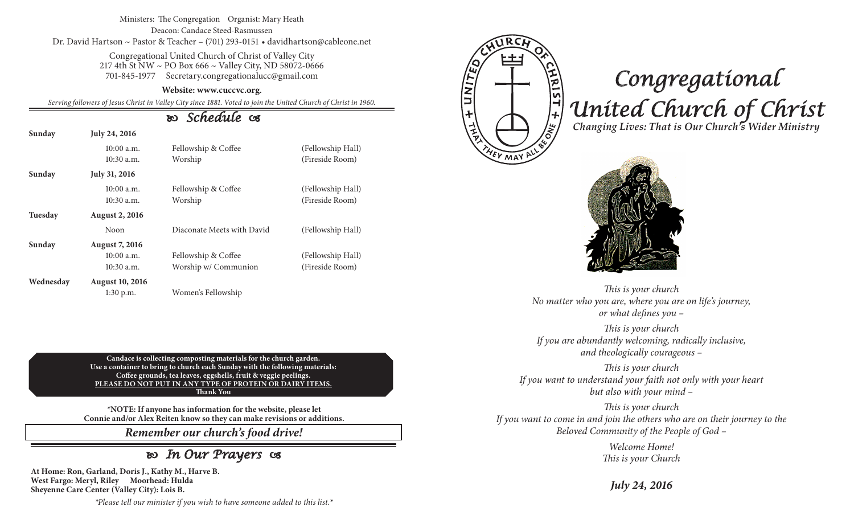#### Ministers: The Congregation Organist: Mary Heath Deacon: Candace Steed-Rasmussen Dr. David Hartson ~ Pastor & Teacher – (701) 293-0151 • davidhartson@cableone.net

Congregational United Church of Christ of Valley City 217 4th St NW ~ PO Box 666 ~ Valley City, ND 58072-0666 701-845-1977 Secretary.congregationalucc@gmail.com

#### **Website: www.cuccvc.org.**

*Serving followers of Jesus Christ in Valley City since 1881. Voted to join the United Church of Christ in 1960.*

## *Schedule*

| Sunday    | July 24, 2016                |                                |                                      |  |  |
|-----------|------------------------------|--------------------------------|--------------------------------------|--|--|
|           | $10:00$ a.m.<br>$10:30$ a.m. | Fellowship & Coffee<br>Worship | (Fellowship Hall)<br>(Fireside Room) |  |  |
| Sunday    | July 31, 2016                |                                |                                      |  |  |
|           | $10:00$ a.m.<br>$10:30$ a.m. | Fellowship & Coffee<br>Worship | (Fellowship Hall)<br>(Fireside Room) |  |  |
| Tuesday   | <b>August 2, 2016</b>        |                                |                                      |  |  |
|           | Noon                         | Diaconate Meets with David     | (Fellowship Hall)                    |  |  |
| Sunday    | <b>August 7, 2016</b>        |                                |                                      |  |  |
|           | $10:00$ a.m.                 | Fellowship & Coffee            | (Fellowship Hall)                    |  |  |
|           | $10:30$ a.m.                 | Worship w/ Communion           | (Fireside Room)                      |  |  |
| Wednesday | <b>August 10, 2016</b>       |                                |                                      |  |  |
|           | 1:30 p.m.                    | Women's Fellowship             |                                      |  |  |

**Candace is collecting composting materials for the church garden. Use a container to bring to church each Sunday with the following materials: Coffee grounds, tea leaves, eggshells, fruit & veggie peelings. PLEASE DO NOT PUT IN ANY TYPE OF PROTEIN OR DAIRY ITEMS. Thank You**

**\*NOTE: If anyone has information for the website, please let Connie and/or Alex Reiten know so they can make revisions or additions.**

*Remember our church's food drive!*

## *In Our Prayers*

**At Home: Ron, Garland, Doris J., Kathy M., Harve B. West Fargo: Meryl, Riley Moorhead: Hulda Sheyenne Care Center (Valley City): Lois B.**

FUNITE <u>HRIST + 1200</u>

EY MAY

# *Congregational United Church of Christ Changing Lives: That is Our Church's Wider Ministry*



*This is your church No matter who you are, where you are on life's journey, or what defines you –*

*This is your church If you are abundantly welcoming, radically inclusive, and theologically courageous –*

*This is your church If you want to understand your faith not only with your heart but also with your mind –*

*This is your church If you want to come in and join the others who are on their journey to the Beloved Community of the People of God –*

> *Welcome Home! This is your Church*

*July 24, 2016*

*\*Please tell our minister if you wish to have someone added to this list.\**